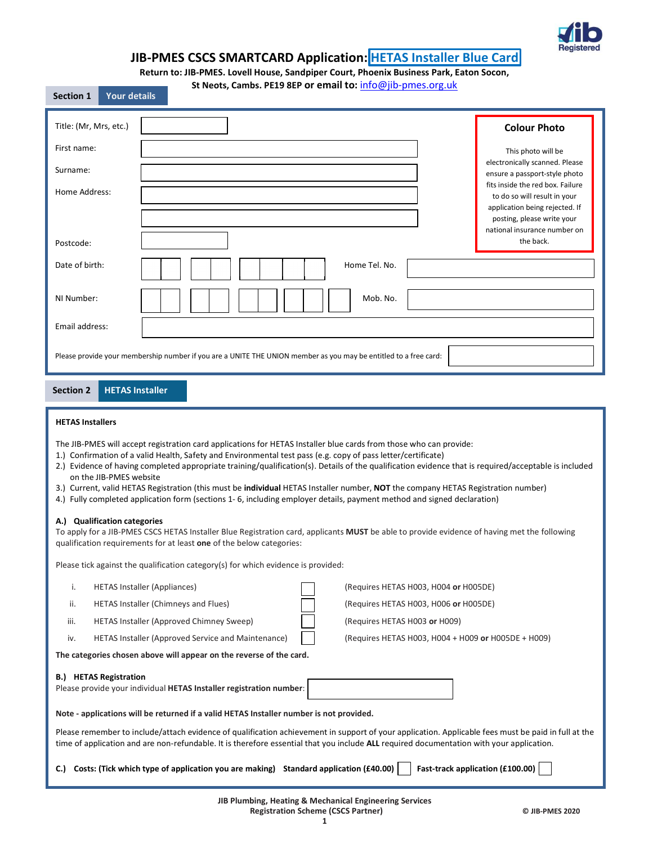

# JIB-PMES CSCS SMARTCARD Application: HETAS Installer Blue Card

Return to: JIB-PMES. Lovell House, Sandpiper Court, Phoenix Business Park, Eaton Socon,

| St Neots, Cambs. PE19 8EP or email to: info@jib-pmes.org.uk |  |
|-------------------------------------------------------------|--|
|-------------------------------------------------------------|--|

| <b>SECUDIL T</b><br>TUUL UELAIIS |                                                                                                                  |                                                                                                                                  |
|----------------------------------|------------------------------------------------------------------------------------------------------------------|----------------------------------------------------------------------------------------------------------------------------------|
| Title: (Mr, Mrs, etc.)           |                                                                                                                  | <b>Colour Photo</b>                                                                                                              |
| First name:<br>Surname:          |                                                                                                                  | This photo will be<br>electronically scanned. Please<br>ensure a passport-style photo                                            |
| Home Address:                    |                                                                                                                  | fits inside the red box. Failure<br>to do so will result in your<br>application being rejected. If<br>posting, please write your |
| Postcode:                        |                                                                                                                  | national insurance number on<br>the back.                                                                                        |
| Date of birth:                   | Home Tel. No.                                                                                                    |                                                                                                                                  |
| NI Number:                       | Mob. No.                                                                                                         |                                                                                                                                  |
| Email address:                   |                                                                                                                  |                                                                                                                                  |
|                                  | Please provide your membership number if you are a UNITE THE UNION member as you may be entitled to a free card: |                                                                                                                                  |

#### HETAS Installer Section 2

Section 1 Your details

## HETAS Installers

The JIB-PMES will accept registration card applications for HETAS Installer blue cards from those who can provide:

- 1.) Confirmation of a valid Health, Safety and Environmental test pass (e.g. copy of pass letter/certificate)
- 2.) Evidence of having completed appropriate training/qualification(s). Details of the qualification evidence that is required/acceptable is included on the JIB-PMES website
- 3.) Current, valid HETAS Registration (this must be individual HETAS Installer number, NOT the company HETAS Registration number)
- 4.) Fully completed application form (sections 1- 6, including employer details, payment method and signed declaration)

## A.) Qualification categories

To apply for a JIB-PMES CSCS HETAS Installer Blue Registration card, applicants MUST be able to provide evidence of having met the following qualification requirements for at least one of the below categories:

Please tick against the qualification category(s) for which evidence is provided:

- i. HETAS Installer (Appliances) (Requires HETAS H003, H004 or H005DE)
- ii. HETAS Installer (Chimneys and Flues) (Requires HETAS H003, H006 or H005DE)
- iii. HETAS Installer (Approved Chimney Sweep) (Requires HETAS H003 or H009)
- 

The categories chosen above will appear on the reverse of the card.

Please provide your individual HETAS Installer registration number:

iv. HETAS Installer (Approved Service and Maintenance) | (Requires HETAS H003, H004 + H009 or H005DE + H009)

| <b>B.) HETAS Registration</b> |  |
|-------------------------------|--|
|                               |  |

Note - applications will be returned if a valid HETAS Installer number is not provided.

Please remember to include/attach evidence of qualification achievement in support of your application. Applicable fees must be paid in full at the time of application and are non-refundable. It is therefore essential that you include ALL required documentation with your application.

| C.) Costs: (Tick which type of application you are making) Standard application (£40.00) $\vert$ |  | Fast-track application (£100.00) |  |  |
|--------------------------------------------------------------------------------------------------|--|----------------------------------|--|--|
|--------------------------------------------------------------------------------------------------|--|----------------------------------|--|--|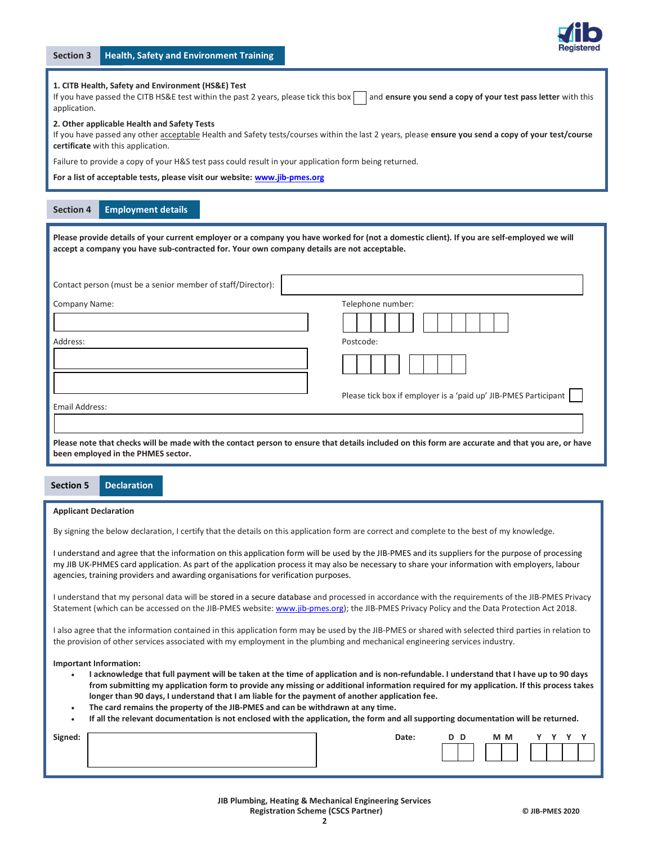

## 1. CITB Health, Safety and Environment (HS&E) Test

If you have passed the CITB HS&E test within the past 2 years, please tick this box and ensure you send a copy of your test pass letter with this application.

#### 2. Other applicable Health and Safety Tests

If you have passed any other acceptable Health and Safety tests/courses within the last 2 years, please ensure you send a copy of your test/course certificate with this application.

Failure to provide a copy of your H&S test pass could result in your application form being returned.

For a list of acceptable tests, please visit our website: www.jib-pmes.org

## Section 4 Employment details

Please provide details of your current employer or a company you have worked for (not a domestic client). If you are self-employed we will accept a company you have sub-contracted for. Your own company details are not acceptable.

| Contact person (must be a senior member of staff/Director): |                                                                                                                                                  |
|-------------------------------------------------------------|--------------------------------------------------------------------------------------------------------------------------------------------------|
| Company Name:                                               | Telephone number:                                                                                                                                |
|                                                             |                                                                                                                                                  |
| Address:                                                    | Postcode:                                                                                                                                        |
|                                                             |                                                                                                                                                  |
| Email Address:                                              | Please tick box if employer is a 'paid up' JIB-PMES Participant                                                                                  |
|                                                             |                                                                                                                                                  |
| been employed in the PHMES sector.                          | Please note that checks will be made with the contact person to ensure that details included on this form are accurate and that you are, or have |

## Section 5 Declaration

#### Applicant Declaration

By signing the below declaration, I certify that the details on this application form are correct and complete to the best of my knowledge.

I understand and agree that the information on this application form will be used by the JIB-PMES and its suppliers for the purpose of processing my JIB UK-PHMES card application. As part of the application process it may also be necessary to share your information with employers, labour agencies, training providers and awarding organisations for verification purposes.

I understand that my personal data will be stored in a secure database and processed in accordance with the requirements of the JIB-PMES Privacy Statement (which can be accessed on the JIB-PMES website: www.jib-pmes.org); the JIB-PMES Privacy Policy and the Data Protection Act 2018.

I also agree that the information contained in this application form may be used by the JIB-PMES or shared with selected third parties in relation to the provision of other services associated with my employment in the plumbing and mechanical engineering services industry.

## Important Information:

- I acknowledge that full payment will be taken at the time of application and is non-refundable. I understand that I have up to 90 days from submitting my application form to provide any missing or additional information required for my application. If this process takes longer than 90 days, I understand that I am liable for the payment of another application fee.
- The card remains the property of the JIB-PMES and can be withdrawn at any time.
- If all the relevant documentation is not enclosed with the application, the form and all supporting documentation will be returned.

| Signed: | Date: | D | D | M M | $\mathbf{v}$ | $\overline{\mathbf{v}}$ |  |
|---------|-------|---|---|-----|--------------|-------------------------|--|
|         |       |   |   |     |              |                         |  |
|         |       |   |   |     |              |                         |  |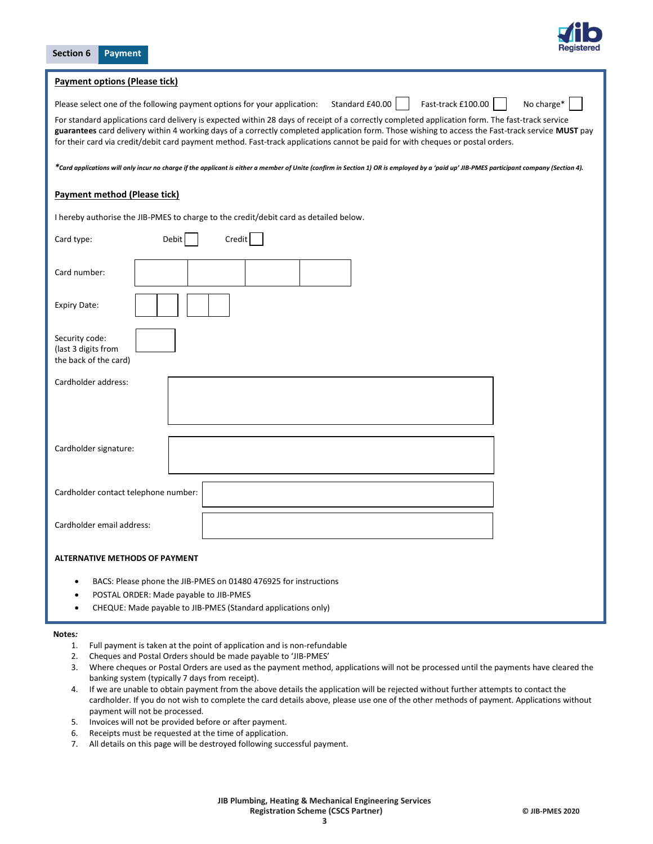| Section 6<br><b>Payment</b>                                                                                                                                                                                                                                                                                                                                                                                                            |
|----------------------------------------------------------------------------------------------------------------------------------------------------------------------------------------------------------------------------------------------------------------------------------------------------------------------------------------------------------------------------------------------------------------------------------------|
| <b>Payment options (Please tick)</b>                                                                                                                                                                                                                                                                                                                                                                                                   |
| Fast-track £100.00<br>Standard £40.00<br>No charge*<br>Please select one of the following payment options for your application:                                                                                                                                                                                                                                                                                                        |
| For standard applications card delivery is expected within 28 days of receipt of a correctly completed application form. The fast-track service<br>guarantees card delivery within 4 working days of a correctly completed application form. Those wishing to access the Fast-track service MUST pay<br>for their card via credit/debit card payment method. Fast-track applications cannot be paid for with cheques or postal orders. |
| *Card applications will only incur no charge if the applicant is either a member of Unite (confirm in Section 1) OR is employed by a 'paid up' JIB-PMES participant company (Section 4).                                                                                                                                                                                                                                               |
| Payment method (Please tick)                                                                                                                                                                                                                                                                                                                                                                                                           |
| I hereby authorise the JIB-PMES to charge to the credit/debit card as detailed below.                                                                                                                                                                                                                                                                                                                                                  |
| Card type:<br>Credit<br>Debit                                                                                                                                                                                                                                                                                                                                                                                                          |
| Card number:                                                                                                                                                                                                                                                                                                                                                                                                                           |
| <b>Expiry Date:</b>                                                                                                                                                                                                                                                                                                                                                                                                                    |
| Security code:<br>(last 3 digits from<br>the back of the card)                                                                                                                                                                                                                                                                                                                                                                         |
| Cardholder address:                                                                                                                                                                                                                                                                                                                                                                                                                    |
|                                                                                                                                                                                                                                                                                                                                                                                                                                        |
| Cardholder signature:                                                                                                                                                                                                                                                                                                                                                                                                                  |
| Cardholder contact telephone number:                                                                                                                                                                                                                                                                                                                                                                                                   |
| Cardholder email address:                                                                                                                                                                                                                                                                                                                                                                                                              |
| <b>ALTERNATIVE METHODS OF PAYMENT</b>                                                                                                                                                                                                                                                                                                                                                                                                  |
| BACS: Please phone the JIB-PMES on 01480 476925 for instructions<br>$\bullet$<br>POSTAL ORDER: Made payable to JIB-PMES<br>CHEQUE: Made payable to JIB-PMES (Standard applications only)                                                                                                                                                                                                                                               |

## Notes:

- 1. Full payment is taken at the point of application and is non-refundable
- 2. Cheques and Postal Orders should be made payable to 'JIB-PMES'
- 3. Where cheques or Postal Orders are used as the payment method, applications will not be processed until the payments have cleared the banking system (typically 7 days from receipt).
- 4. If we are unable to obtain payment from the above details the application will be rejected without further attempts to contact the cardholder. If you do not wish to complete the card details above, please use one of the other methods of payment. Applications without payment will not be processed.
- 5. Invoices will not be provided before or after payment.
- 6. Receipts must be requested at the time of application.
- 7. All details on this page will be destroyed following successful payment.